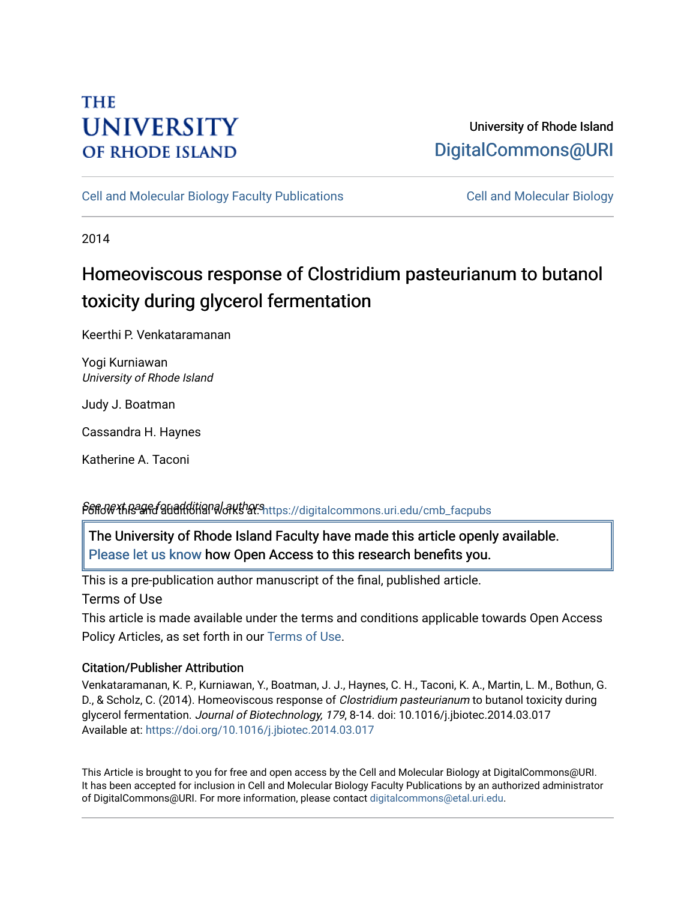# **THE UNIVERSITY OF RHODE ISLAND**

# University of Rhode Island [DigitalCommons@URI](https://digitalcommons.uri.edu/)

[Cell and Molecular Biology Faculty Publications](https://digitalcommons.uri.edu/cmb_facpubs) [Cell and Molecular Biology](https://digitalcommons.uri.edu/cmb) 

2014

# Homeoviscous response of Clostridium pasteurianum to butanol toxicity during glycerol fermentation

Keerthi P. Venkataramanan

Yogi Kurniawan University of Rhode Island

Judy J. Boatman

Cassandra H. Haynes

Katherine A. Taconi

# P&ffd@XhRagedguadditional authorshttps://digitalcommons.uri.edu/cmb\_facpubs

The University of Rhode Island Faculty have made this article openly available. [Please let us know](http://web.uri.edu/library-digital-initiatives/open-access-online-form/) how Open Access to this research benefits you.

This is a pre-publication author manuscript of the final, published article.

Terms of Use

This article is made available under the terms and conditions applicable towards Open Access Policy Articles, as set forth in our [Terms of Use](https://digitalcommons.uri.edu/cmb_facpubs/oa_policy_terms.html).

# Citation/Publisher Attribution

Venkataramanan, K. P., Kurniawan, Y., Boatman, J. J., Haynes, C. H., Taconi, K. A., Martin, L. M., Bothun, G. D., & Scholz, C. (2014). Homeoviscous response of *Clostridium pasteurianum* to butanol toxicity during glycerol fermentation. Journal of Biotechnology, 179, 8-14. doi: 10.1016/j.jbiotec.2014.03.017 Available at:<https://doi.org/10.1016/j.jbiotec.2014.03.017>

This Article is brought to you for free and open access by the Cell and Molecular Biology at DigitalCommons@URI. It has been accepted for inclusion in Cell and Molecular Biology Faculty Publications by an authorized administrator of DigitalCommons@URI. For more information, please contact [digitalcommons@etal.uri.edu](mailto:digitalcommons@etal.uri.edu).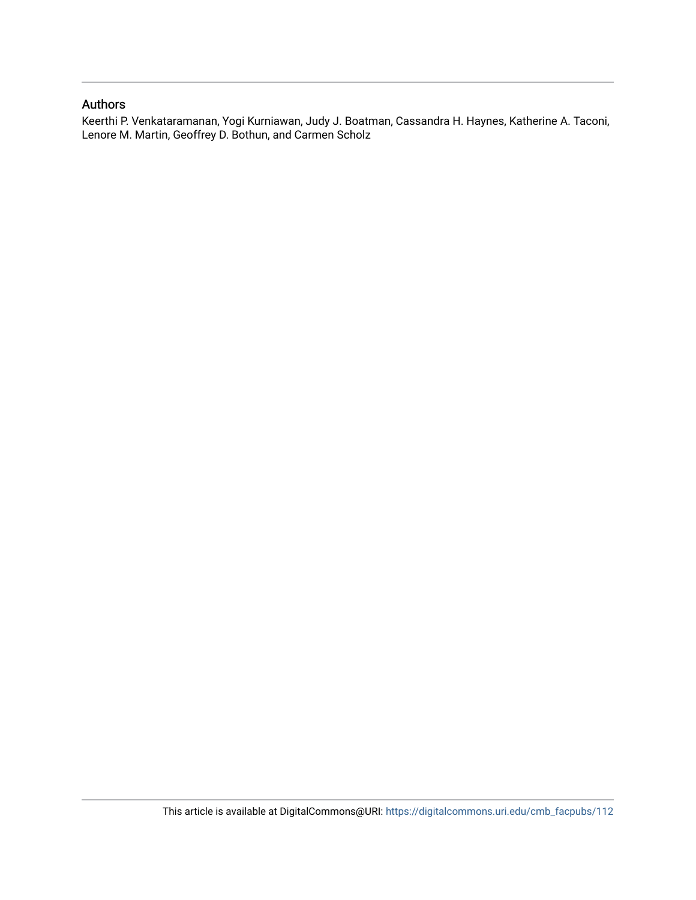# Authors

Keerthi P. Venkataramanan, Yogi Kurniawan, Judy J. Boatman, Cassandra H. Haynes, Katherine A. Taconi, Lenore M. Martin, Geoffrey D. Bothun, and Carmen Scholz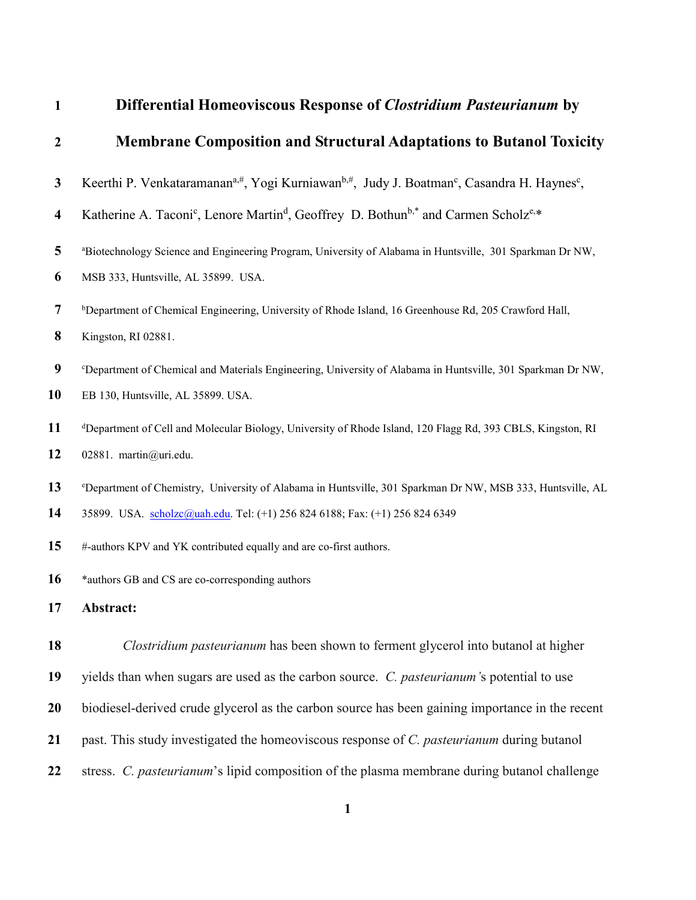| $\mathbf{1}$            | Differential Homeoviscous Response of <i>Clostridium Pasteurianum</i> by                                                                    |  |  |  |  |
|-------------------------|---------------------------------------------------------------------------------------------------------------------------------------------|--|--|--|--|
| $\overline{2}$          | <b>Membrane Composition and Structural Adaptations to Butanol Toxicity</b>                                                                  |  |  |  |  |
| $\mathbf{3}$            | Keerthi P. Venkataramanan <sup>a,#</sup> , Yogi Kurniawan <sup>b,#</sup> , Judy J. Boatman <sup>c</sup> , Casandra H. Haynes <sup>c</sup> , |  |  |  |  |
| $\overline{\mathbf{4}}$ | Katherine A. Taconi <sup>c</sup> , Lenore Martin <sup>d</sup> , Geoffrey D. Bothun <sup>b,*</sup> and Carmen Scholz <sup>e,*</sup>          |  |  |  |  |
| 5                       | <sup>a</sup> Biotechnology Science and Engineering Program, University of Alabama in Huntsville, 301 Sparkman Dr NW,                        |  |  |  |  |
| 6                       | MSB 333, Huntsville, AL 35899. USA.                                                                                                         |  |  |  |  |
| 7                       | <sup>b</sup> Department of Chemical Engineering, University of Rhode Island, 16 Greenhouse Rd, 205 Crawford Hall,                           |  |  |  |  |
| 8                       | Kingston, RI 02881.                                                                                                                         |  |  |  |  |
| 9                       | <sup>c</sup> Department of Chemical and Materials Engineering, University of Alabama in Huntsville, 301 Sparkman Dr NW,                     |  |  |  |  |
| 10                      | EB 130, Huntsville, AL 35899. USA.                                                                                                          |  |  |  |  |
| 11                      | <sup>d</sup> Department of Cell and Molecular Biology, University of Rhode Island, 120 Flagg Rd, 393 CBLS, Kingston, RI                     |  |  |  |  |
| 12                      | 02881. martin@uri.edu.                                                                                                                      |  |  |  |  |
| 13                      | <sup>e</sup> Department of Chemistry, University of Alabama in Huntsville, 301 Sparkman Dr NW, MSB 333, Huntsville, AL                      |  |  |  |  |
| 14                      | 35899. USA. scholzc@uah.edu. Tel: (+1) 256 824 6188; Fax: (+1) 256 824 6349                                                                 |  |  |  |  |
| 15                      | #-authors KPV and YK contributed equally and are co-first authors.                                                                          |  |  |  |  |
| 16                      | *authors GB and CS are co-corresponding authors                                                                                             |  |  |  |  |
| 17                      | Abstract:                                                                                                                                   |  |  |  |  |
| 18                      | Clostridium pasteurianum has been shown to ferment glycerol into butanol at higher                                                          |  |  |  |  |
| 19                      | yields than when sugars are used as the carbon source. C. pasteurianum's potential to use                                                   |  |  |  |  |
| 20                      | biodiesel-derived crude glycerol as the carbon source has been gaining importance in the recent                                             |  |  |  |  |
| 21                      | past. This study investigated the homeoviscous response of C. pasteurianum during butanol                                                   |  |  |  |  |
| 22                      | stress. C. pasteurianum's lipid composition of the plasma membrane during butanol challenge                                                 |  |  |  |  |
|                         |                                                                                                                                             |  |  |  |  |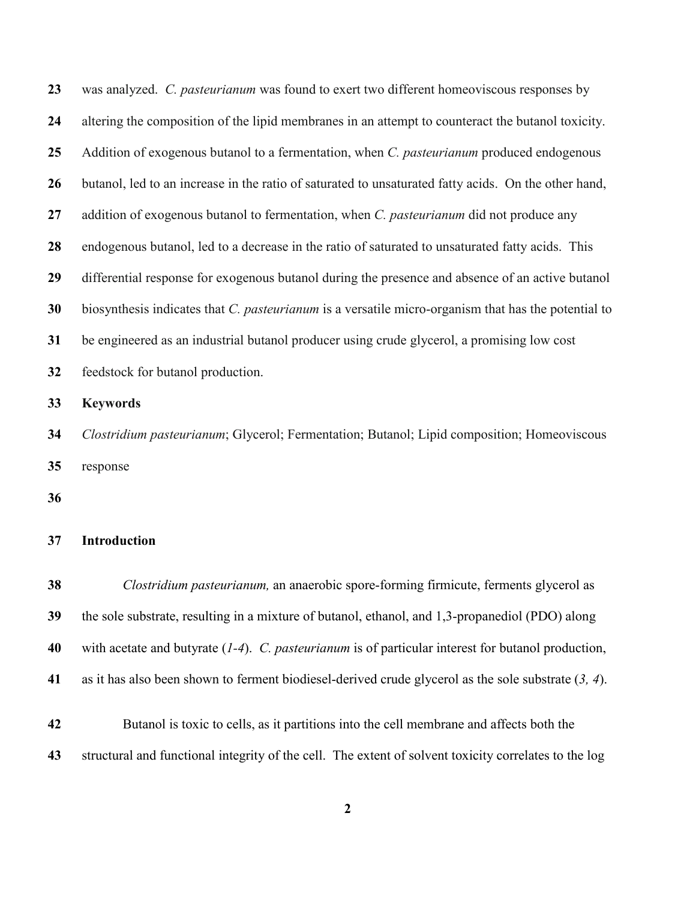| 23 | was analyzed. C. pasteurianum was found to exert two different homeoviscous responses by               |  |  |
|----|--------------------------------------------------------------------------------------------------------|--|--|
| 24 | altering the composition of the lipid membranes in an attempt to counteract the butanol toxicity.      |  |  |
| 25 | Addition of exogenous butanol to a fermentation, when C. pasteurianum produced endogenous              |  |  |
| 26 | butanol, led to an increase in the ratio of saturated to unsaturated fatty acids. On the other hand,   |  |  |
| 27 | addition of exogenous butanol to fermentation, when C. pasteurianum did not produce any                |  |  |
| 28 | endogenous butanol, led to a decrease in the ratio of saturated to unsaturated fatty acids. This       |  |  |
| 29 | differential response for exogenous butanol during the presence and absence of an active butanol       |  |  |
| 30 | biosynthesis indicates that C. pasteurianum is a versatile micro-organism that has the potential to    |  |  |
| 31 | be engineered as an industrial butanol producer using crude glycerol, a promising low cost             |  |  |
| 32 | feedstock for butanol production.                                                                      |  |  |
| 33 | <b>Keywords</b>                                                                                        |  |  |
| 34 | Clostridium pasteurianum; Glycerol; Fermentation; Butanol; Lipid composition; Homeoviscous             |  |  |
| 35 | response                                                                                               |  |  |
| 36 |                                                                                                        |  |  |
| 37 | Introduction                                                                                           |  |  |
| 38 | Clostridium pasteurianum, an anaerobic spore-forming firmicute, ferments glycerol as                   |  |  |
| 39 | the sole substrate, resulting in a mixture of butanol, ethanol, and 1,3-propanediol (PDO) along        |  |  |
| 40 | with acetate and butyrate $(1-4)$ . C. pasteurianum is of particular interest for butanol production,  |  |  |
| 41 | as it has also been shown to ferment biodiesel-derived crude glycerol as the sole substrate $(3, 4)$ . |  |  |
| 42 | Butanol is toxic to cells, as it partitions into the cell membrane and affects both the                |  |  |
| 43 | structural and functional integrity of the cell. The extent of solvent toxicity correlates to the log  |  |  |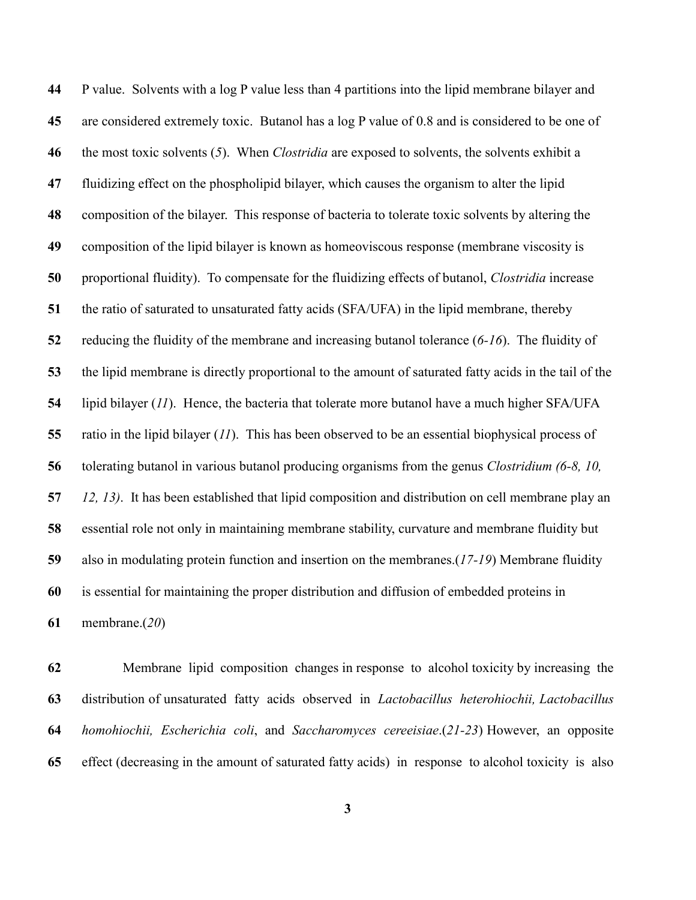P value. Solvents with a log P value less than 4 partitions into the lipid membrane bilayer and are considered extremely toxic. Butanol has a log P value of 0.8 and is considered to be one of the most toxic solvents (*[5](#page-22-3)*). When *Clostridia* are exposed to solvents, the solvents exhibit a fluidizing effect on the phospholipid bilayer, which causes the organism to alter the lipid composition of the bilayer. This response of bacteria to tolerate toxic solvents by altering the composition of the lipid bilayer is known as homeoviscous response (membrane viscosity is proportional fluidity). To compensate for the fluidizing effects of butanol, *Clostridia* increase the ratio of saturated to unsaturated fatty acids (SFA/UFA) in the lipid membrane, thereby reducing the fluidity of the membrane and increasing butanol tolerance (*[6-16](#page-22-4)*). The fluidity of the lipid membrane is directly proportional to the amount of saturated fatty acids in the tail of the lipid bilayer (*[11](#page-23-0)*). Hence, the bacteria that tolerate more butanol have a much higher SFA/UFA ratio in the lipid bilayer (*[11](#page-23-0)*). This has been observed to be an essential biophysical process of tolerating butanol in various butanol producing organisms from the genus *Clostridium [\(6-8,](#page-22-4) [10,](#page-23-1) [12,](#page-23-2) [13\)](#page-23-3)*. It has been established that lipid composition and distribution on cell membrane play an essential role not only in maintaining membrane stability, curvature and membrane fluidity but also in modulating protein function and insertion on the membranes.(*[17-19](#page-23-4)*) Membrane fluidity is essential for maintaining the proper distribution and diffusion of embedded proteins in membrane.(*[20](#page-23-5)*)

 Membrane lipid composition changes in response to alcohol toxicity by increasing the distribution of unsaturated fatty acids observed in *Lactobacillus heterohiochii, Lactobacillus homohiochii, Escherichia coli*, and *Saccharomyces cereeisiae*.(*[21-23](#page-23-6)*) However, an opposite effect (decreasing in the amount of saturated fatty acids) in response to alcohol toxicity is also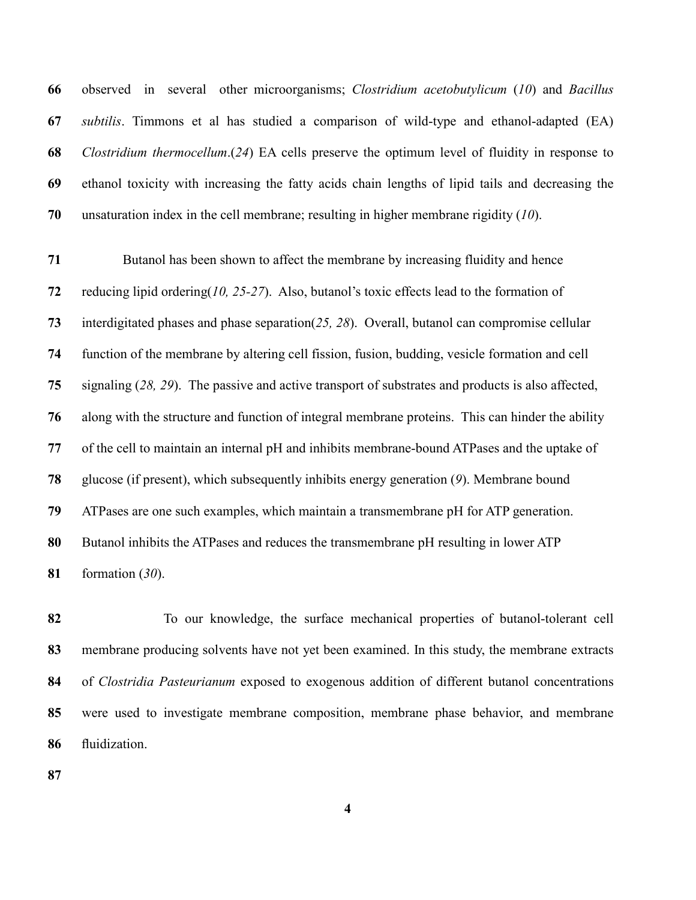observed in several other microorganisms; *Clostridium acetobutylicum* (*[10](#page-23-1)*) and *Bacillus subtilis*. Timmons et al has studied a comparison of wild-type and ethanol-adapted (EA) *Clostridium thermocellum*.(*[24](#page-24-0)*) EA cells preserve the optimum level of fluidity in response to ethanol toxicity with increasing the fatty acids chain lengths of lipid tails and decreasing the unsaturation index in the cell membrane; resulting in higher membrane rigidity (*[10](#page-23-1)*).

 Butanol has been shown to affect the membrane by increasing fluidity and hence reducing lipid ordering(*[10,](#page-23-1) [25-27](#page-24-1)*). Also, butanol's toxic effects lead to the formation of interdigitated phases and phase separation(*[25,](#page-24-1) [28](#page-24-2)*). Overall, butanol can compromise cellular function of the membrane by altering cell fission, fusion, budding, vesicle formation and cell signaling (*[28,](#page-24-2) [29](#page-24-3)*). The passive and active transport of substrates and products is also affected, along with the structure and function of integral membrane proteins. This can hinder the ability of the cell to maintain an internal pH and inhibits membrane-bound ATPases and the uptake of glucose (if present), which subsequently inhibits energy generation (*[9](#page-23-7)*). Membrane bound ATPases are one such examples, which maintain a transmembrane pH for ATP generation. Butanol inhibits the ATPases and reduces the transmembrane pH resulting in lower ATP formation (*[30](#page-24-4)*).

 To our knowledge, the surface mechanical properties of butanol-tolerant cell membrane producing solvents have not yet been examined. In this study, the membrane extracts of *Clostridia Pasteurianum* exposed to exogenous addition of different butanol concentrations were used to investigate membrane composition, membrane phase behavior, and membrane fluidization.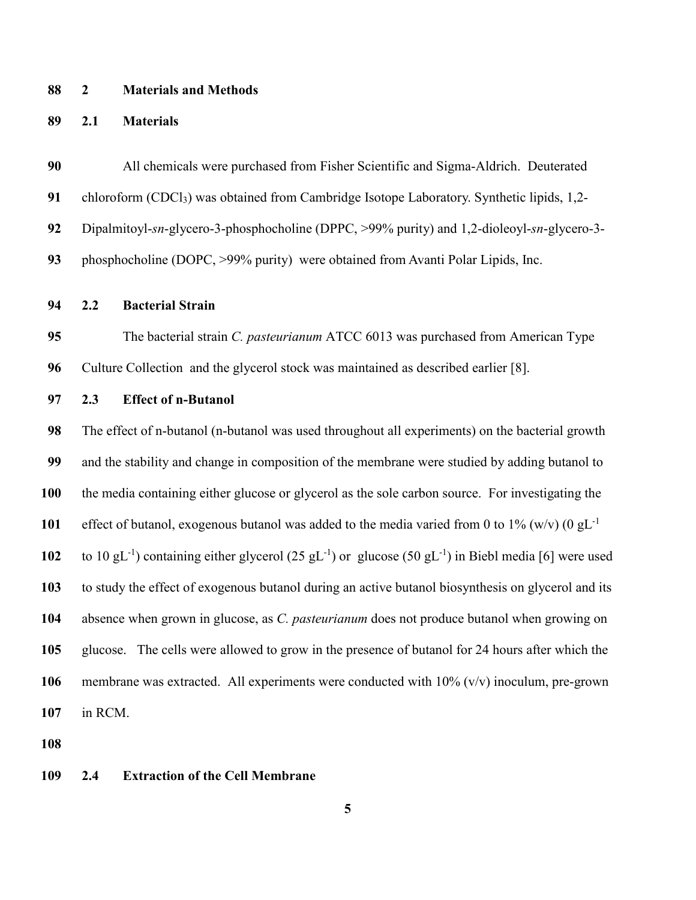### **2 Materials and Methods**

### **2.1 Materials**

 All chemicals were purchased from Fisher Scientific and Sigma-Aldrich. Deuterated chloroform (CDCl3) was obtained from Cambridge Isotope Laboratory. Synthetic lipids, 1,2- Dipalmitoyl-*sn*-glycero-3-phosphocholine (DPPC, >99% purity) and 1,2-dioleoyl-*sn*-glycero-3- phosphocholine (DOPC, >99% purity) were obtained from Avanti Polar Lipids, Inc.

**2.2 Bacterial Strain**

 The bacterial strain *C. pasteurianum* ATCC 6013 was purchased from American Type Culture Collection and the glycerol stock was maintained as described earlier [8].

**2.3 Effect of n-Butanol**

 The effect of n-butanol (n-butanol was used throughout all experiments) on the bacterial growth and the stability and change in composition of the membrane were studied by adding butanol to the media containing either glucose or glycerol as the sole carbon source. For investigating the 101 effect of butanol, exogenous butanol was added to the media varied from 0 to 1% (w/v) (0 gL<sup>-1</sup> 102 to 10  $gL^{-1}$ ) containing either glycerol (25  $gL^{-1}$ ) or glucose (50  $gL^{-1}$ ) in Biebl media [6] were used to study the effect of exogenous butanol during an active butanol biosynthesis on glycerol and its absence when grown in glucose, as *C. pasteurianum* does not produce butanol when growing on glucose. The cells were allowed to grow in the presence of butanol for 24 hours after which the membrane was extracted. All experiments were conducted with 10% (v/v) inoculum, pre-grown in RCM.

# **2.4 Extraction of the Cell Membrane**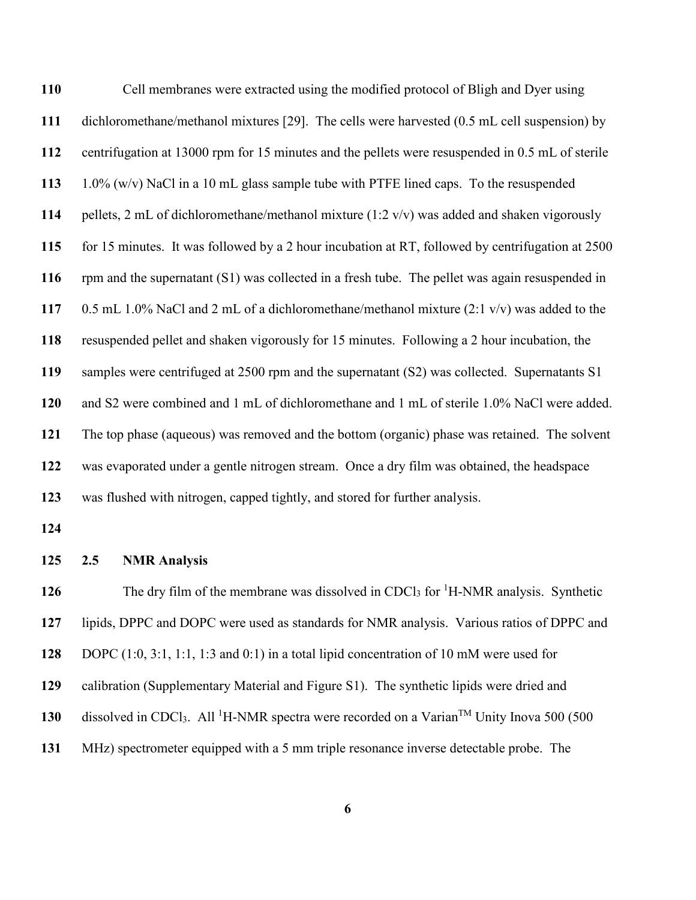| 110 | Cell membranes were extracted using the modified protocol of Bligh and Dyer using                                             |  |  |
|-----|-------------------------------------------------------------------------------------------------------------------------------|--|--|
| 111 | dichloromethane/methanol mixtures [29]. The cells were harvested (0.5 mL cell suspension) by                                  |  |  |
| 112 | centrifugation at 13000 rpm for 15 minutes and the pellets were resuspended in 0.5 mL of sterile                              |  |  |
| 113 | $1.0\%$ (w/v) NaCl in a 10 mL glass sample tube with PTFE lined caps. To the resuspended                                      |  |  |
| 114 | pellets, 2 mL of dichloromethane/methanol mixture $(1:2 \text{ v/v})$ was added and shaken vigorously                         |  |  |
| 115 | for 15 minutes. It was followed by a 2 hour incubation at RT, followed by centrifugation at 2500                              |  |  |
| 116 | rpm and the supernatant (S1) was collected in a fresh tube. The pellet was again resuspended in                               |  |  |
| 117 | 0.5 mL 1.0% NaCl and 2 mL of a dichloromethane/methanol mixture $(2:1 \text{ v/v})$ was added to the                          |  |  |
| 118 | resuspended pellet and shaken vigorously for 15 minutes. Following a 2 hour incubation, the                                   |  |  |
| 119 | samples were centrifuged at 2500 rpm and the supernatant (S2) was collected. Supernatants S1                                  |  |  |
| 120 | and S2 were combined and 1 mL of dichloromethane and 1 mL of sterile 1.0% NaCl were added.                                    |  |  |
| 121 | The top phase (aqueous) was removed and the bottom (organic) phase was retained. The solvent                                  |  |  |
| 122 | was evaporated under a gentle nitrogen stream. Once a dry film was obtained, the headspace                                    |  |  |
| 123 | was flushed with nitrogen, capped tightly, and stored for further analysis.                                                   |  |  |
| 124 |                                                                                                                               |  |  |
| 125 | <b>NMR</b> Analysis<br>2.5                                                                                                    |  |  |
| 126 | The dry film of the membrane was dissolved in CDCl <sub>3</sub> for <sup>1</sup> H-NMR analysis. Synthetic                    |  |  |
| 127 | lipids, DPPC and DOPC were used as standards for NMR analysis. Various ratios of DPPC and                                     |  |  |
| 128 | DOPC $(1:0, 3:1, 1:1, 1:3$ and $(0:1)$ in a total lipid concentration of 10 mM were used for                                  |  |  |
| 129 | calibration (Supplementary Material and Figure S1). The synthetic lipids were dried and                                       |  |  |
| 130 | dissolved in CDCl <sub>3</sub> . All <sup>1</sup> H-NMR spectra were recorded on a Varian <sup>TM</sup> Unity Inova 500 (500) |  |  |

MHz) spectrometer equipped with a 5 mm triple resonance inverse detectable probe. The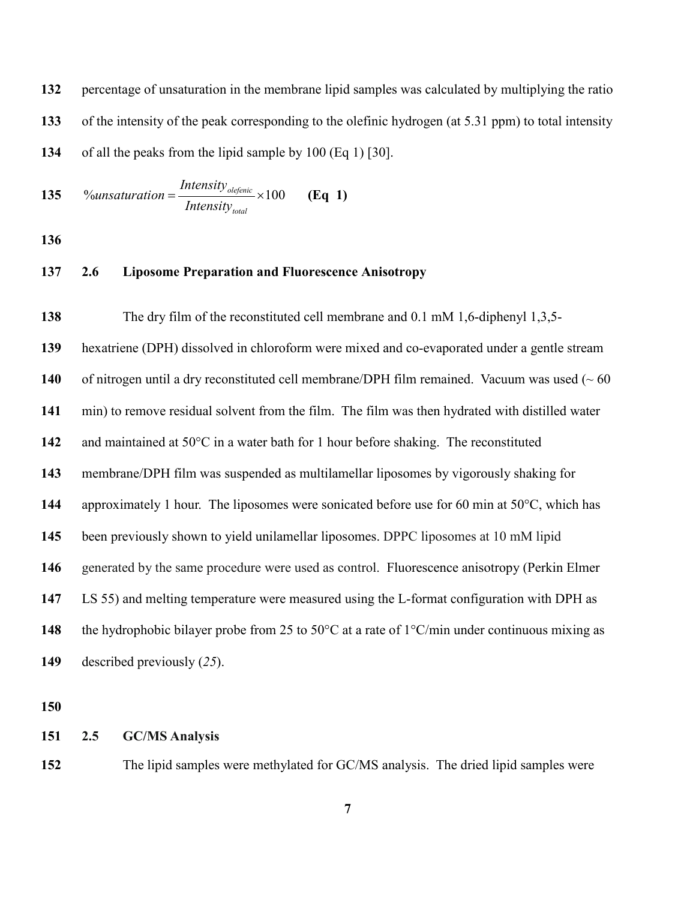percentage of unsaturation in the membrane lipid samples was calculated by multiplying the ratio of the intensity of the peak corresponding to the olefinic hydrogen (at 5.31 ppm) to total intensity of all the peaks from the lipid sample by 100 (Eq 1) [30].

135 
$$
\% unsaturation = \frac{Intensity_{\text{olefenic}}}{Intensity_{\text{total}}} \times 100 \qquad (Eq 1)
$$

# **2.6 Liposome Preparation and Fluorescence Anisotropy**

 The dry film of the reconstituted cell membrane and 0.1 mM 1,6-diphenyl 1,3,5- hexatriene (DPH) dissolved in chloroform were mixed and co-evaporated under a gentle stream of nitrogen until a dry reconstituted cell membrane/DPH film remained. Vacuum was used (~60 min) to remove residual solvent from the film. The film was then hydrated with distilled water and maintained at 50°C in a water bath for 1 hour before shaking. The reconstituted membrane/DPH film was suspended as multilamellar liposomes by vigorously shaking for approximately 1 hour. The liposomes were sonicated before use for 60 min at 50°C, which has been previously shown to yield unilamellar liposomes. DPPC liposomes at 10 mM lipid generated by the same procedure were used as control. Fluorescence anisotropy (Perkin Elmer LS 55) and melting temperature were measured using the L-format configuration with DPH as the hydrophobic bilayer probe from 25 to 50°C at a rate of 1°C/min under continuous mixing as described previously (*[25](#page-24-1)*).

### **2.5 GC/MS Analysis**

The lipid samples were methylated for GC/MS analysis. The dried lipid samples were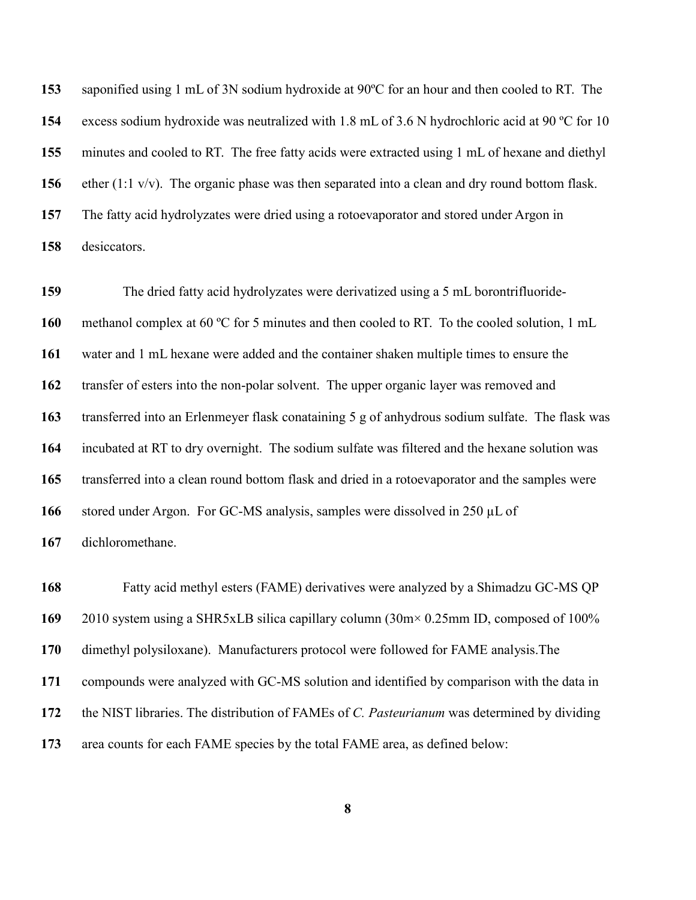saponified using 1 mL of 3N sodium hydroxide at 90ºC for an hour and then cooled to RT. The excess sodium hydroxide was neutralized with 1.8 mL of 3.6 N hydrochloric acid at 90 ºC for 10 minutes and cooled to RT. The free fatty acids were extracted using 1 mL of hexane and diethyl ether (1:1 v/v). The organic phase was then separated into a clean and dry round bottom flask. The fatty acid hydrolyzates were dried using a rotoevaporator and stored under Argon in desiccators.

 The dried fatty acid hydrolyzates were derivatized using a 5 mL borontrifluoride- methanol complex at 60 ºC for 5 minutes and then cooled to RT. To the cooled solution, 1 mL water and 1 mL hexane were added and the container shaken multiple times to ensure the transfer of esters into the non-polar solvent. The upper organic layer was removed and transferred into an Erlenmeyer flask conataining 5 g of anhydrous sodium sulfate. The flask was incubated at RT to dry overnight. The sodium sulfate was filtered and the hexane solution was transferred into a clean round bottom flask and dried in a rotoevaporator and the samples were stored under Argon. For GC-MS analysis, samples were dissolved in 250 µL of dichloromethane.

 Fatty acid methyl esters (FAME) derivatives were analyzed by a Shimadzu GC-MS QP 2010 system using a SHR5xLB silica capillary column (30m× 0.25mm ID, composed of 100% dimethyl polysiloxane). Manufacturers protocol were followed for FAME analysis.The compounds were analyzed with GC-MS solution and identified by comparison with the data in the NIST libraries. The distribution of FAMEs of *C. Pasteurianum* was determined by dividing area counts for each FAME species by the total FAME area, as defined below: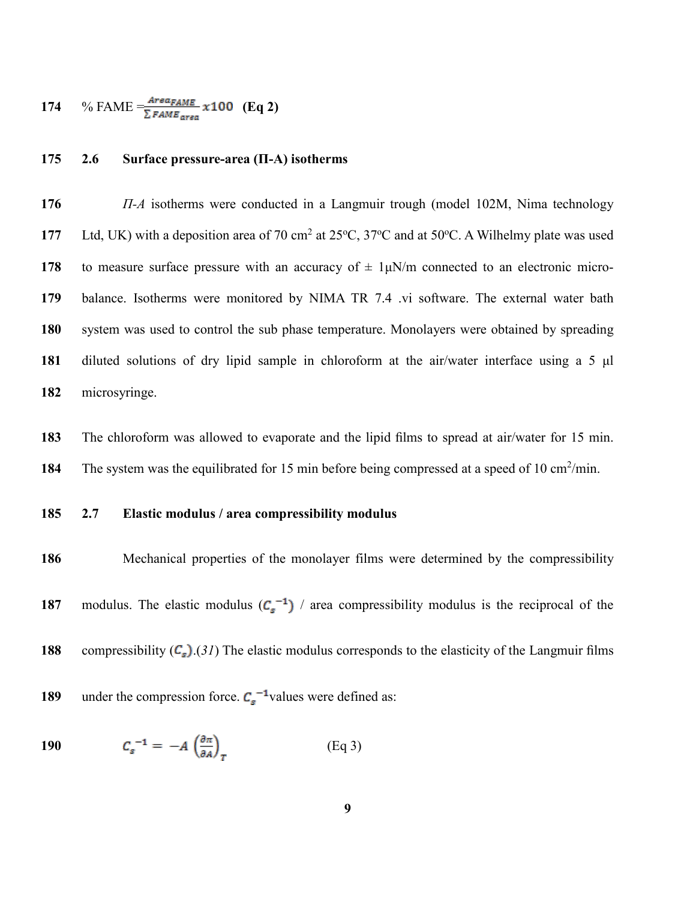174 % FAME = 
$$
\frac{Area_{FAME}}{\sum_{FAME_{area}} x 100}
$$
 (Eq 2)

# **2.6 Surface pressure-area (Π-A) isotherms**

 *Π-A* isotherms were conducted in a Langmuir trough (model 102M, Nima technology 177 Ltd, UK) with a deposition area of 70 cm<sup>2</sup> at 25 $\degree$ C, 37 $\degree$ C and at 50 $\degree$ C. A Wilhelmy plate was used to measure surface pressure with an accuracy of  $\pm$  1μN/m connected to an electronic micro- balance. Isotherms were monitored by NIMA TR 7.4 .vi software. The external water bath system was used to control the sub phase temperature. Monolayers were obtained by spreading diluted solutions of dry lipid sample in chloroform at the air/water interface using a 5 μl microsyringe.

 The chloroform was allowed to evaporate and the lipid films to spread at air/water for 15 min. 184 The system was the equilibrated for 15 min before being compressed at a speed of 10 cm<sup>2</sup>/min.

# **2.7 Elastic modulus / area compressibility modulus**

 Mechanical properties of the monolayer films were determined by the compressibility modulus. The elastic modulus  $(C_s^{-1})$  / area compressibility modulus is the reciprocal of the compressibility  $(C_s)(31)$  $(C_s)(31)$  $(C_s)(31)$  The elastic modulus corresponds to the elasticity of the Langmuir films under the compression force.  $C_s^{-1}$  values were defined as:

$$
190 \t Cs-1 = -A \left(\frac{\partial \pi}{\partial A}\right)_T \t (Eq 3)
$$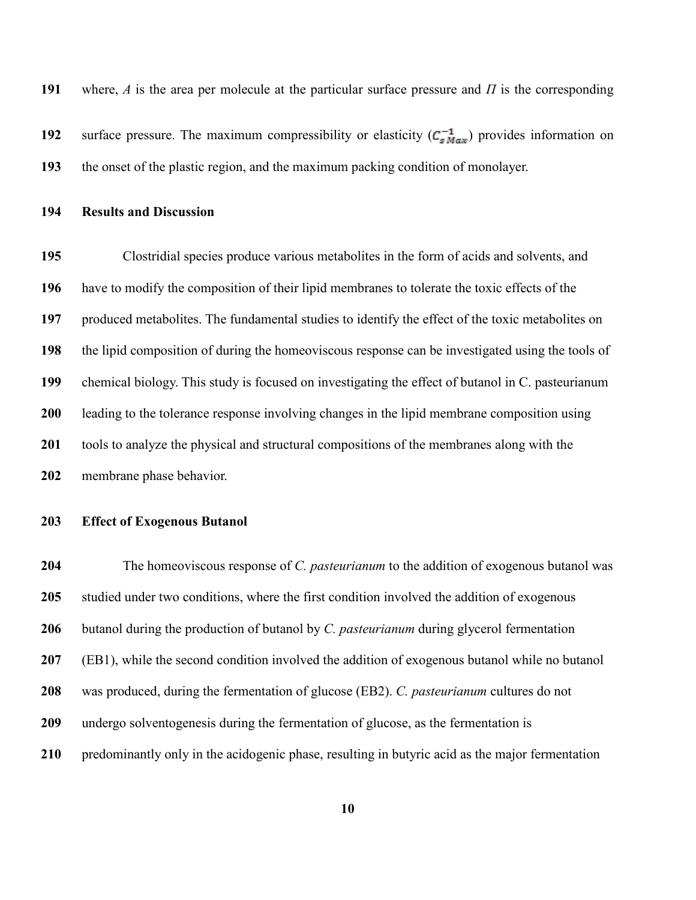where, *A* is the area per molecule at the particular surface pressure and *Π* is the corresponding

**192** surface pressure. The maximum compressibility or elasticity  $(C_{sMax}^{-1})$  provides information on the onset of the plastic region, and the maximum packing condition of monolayer.

**Results and Discussion**

 Clostridial species produce various metabolites in the form of acids and solvents, and have to modify the composition of their lipid membranes to tolerate the toxic effects of the produced metabolites. The fundamental studies to identify the effect of the toxic metabolites on the lipid composition of during the homeoviscous response can be investigated using the tools of chemical biology. This study is focused on investigating the effect of butanol in C. pasteurianum leading to the tolerance response involving changes in the lipid membrane composition using tools to analyze the physical and structural compositions of the membranes along with the membrane phase behavior.

### **Effect of Exogenous Butanol**

 The homeoviscous response of *C. pasteurianum* to the addition of exogenous butanol was studied under two conditions, where the first condition involved the addition of exogenous butanol during the production of butanol by *C. pasteurianum* during glycerol fermentation (EB1), while the second condition involved the addition of exogenous butanol while no butanol was produced, during the fermentation of glucose (EB2). *C. pasteurianum* cultures do not undergo solventogenesis during the fermentation of glucose, as the fermentation is predominantly only in the acidogenic phase, resulting in butyric acid as the major fermentation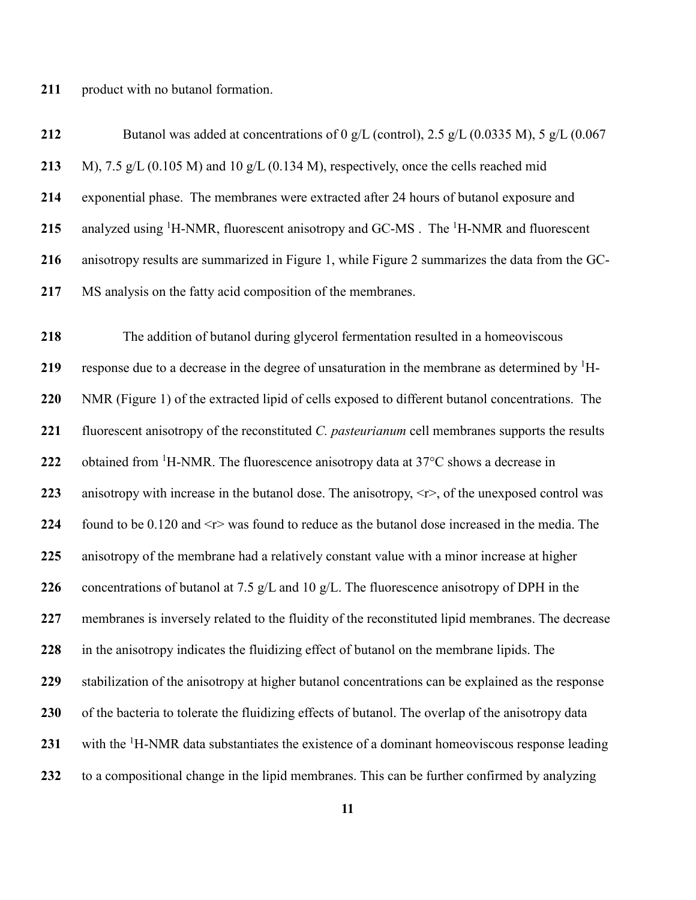211 product with no butanol formation.

| 212 | Butanol was added at concentrations of 0 g/L (control), 2.5 g/L (0.0335 M), 5 g/L (0.067                     |
|-----|--------------------------------------------------------------------------------------------------------------|
| 213 | M), 7.5 $g/L$ (0.105 M) and 10 $g/L$ (0.134 M), respectively, once the cells reached mid                     |
| 214 | exponential phase. The membranes were extracted after 24 hours of butanol exposure and                       |
| 215 | analyzed using <sup>1</sup> H-NMR, fluorescent anisotropy and GC-MS . The <sup>1</sup> H-NMR and fluorescent |
| 216 | anisotropy results are summarized in Figure 1, while Figure 2 summarizes the data from the GC-               |
| 217 | MS analysis on the fatty acid composition of the membranes.                                                  |

 The addition of butanol during glycerol fermentation resulted in a homeoviscous 219 response due to a decrease in the degree of unsaturation in the membrane as determined by <sup>1</sup>H- NMR (Figure 1) of the extracted lipid of cells exposed to different butanol concentrations. The fluorescent anisotropy of the reconstituted *C. pasteurianum* cell membranes supports the results 222 obtained from <sup>1</sup>H-NMR. The fluorescence anisotropy data at  $37^{\circ}$ C shows a decrease in anisotropy with increase in the butanol dose. The anisotropy,  $\langle r \rangle$ , of the unexposed control was found to be 0.120 and <r> was found to reduce as the butanol dose increased in the media. The anisotropy of the membrane had a relatively constant value with a minor increase at higher concentrations of butanol at 7.5 g/L and 10 g/L. The fluorescence anisotropy of DPH in the membranes is inversely related to the fluidity of the reconstituted lipid membranes. The decrease in the anisotropy indicates the fluidizing effect of butanol on the membrane lipids. The stabilization of the anisotropy at higher butanol concentrations can be explained as the response of the bacteria to tolerate the fluidizing effects of butanol. The overlap of the anisotropy data 231 with the <sup>1</sup>H-NMR data substantiates the existence of a dominant homeoviscous response leading to a compositional change in the lipid membranes. This can be further confirmed by analyzing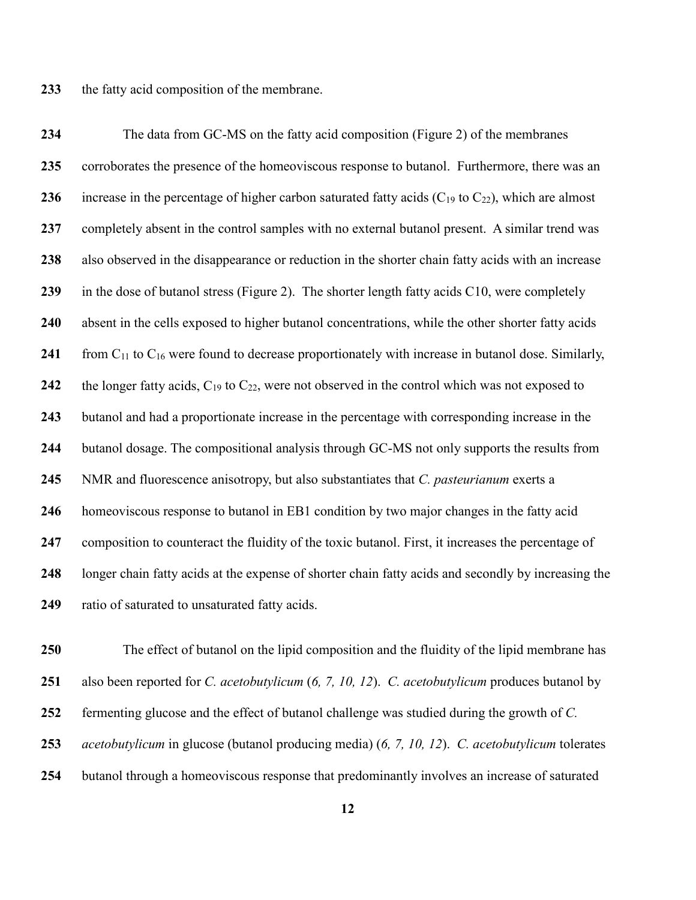the fatty acid composition of the membrane.

 The data from GC-MS on the fatty acid composition (Figure 2) of the membranes corroborates the presence of the homeoviscous response to butanol. Furthermore, there was an increase in the percentage of higher carbon saturated fatty acids  $(C_{19}$  to  $C_{22})$ , which are almost completely absent in the control samples with no external butanol present. A similar trend was also observed in the disappearance or reduction in the shorter chain fatty acids with an increase in the dose of butanol stress (Figure 2). The shorter length fatty acids C10, were completely absent in the cells exposed to higher butanol concentrations, while the other shorter fatty acids from C<sub>11</sub> to C<sub>16</sub> were found to decrease proportionately with increase in butanol dose. Similarly, the longer fatty acids,  $C_{19}$  to  $C_{22}$ , were not observed in the control which was not exposed to butanol and had a proportionate increase in the percentage with corresponding increase in the butanol dosage. The compositional analysis through GC-MS not only supports the results from NMR and fluorescence anisotropy, but also substantiates that *C. pasteurianum* exerts a homeoviscous response to butanol in EB1 condition by two major changes in the fatty acid composition to counteract the fluidity of the toxic butanol. First, it increases the percentage of longer chain fatty acids at the expense of shorter chain fatty acids and secondly by increasing the ratio of saturated to unsaturated fatty acids.

 The effect of butanol on the lipid composition and the fluidity of the lipid membrane has also been reported for *C. acetobutylicum* (*[6,](#page-22-4) [7,](#page-22-5) [10,](#page-23-1) [12](#page-23-2)*). *C. acetobutylicum* produces butanol by fermenting glucose and the effect of butanol challenge was studied during the growth of *C. acetobutylicum* in glucose (butanol producing media) (*[6,](#page-22-4) [7,](#page-22-5) [10,](#page-23-1) [12](#page-23-2)*). *C. acetobutylicum* tolerates butanol through a homeoviscous response that predominantly involves an increase of saturated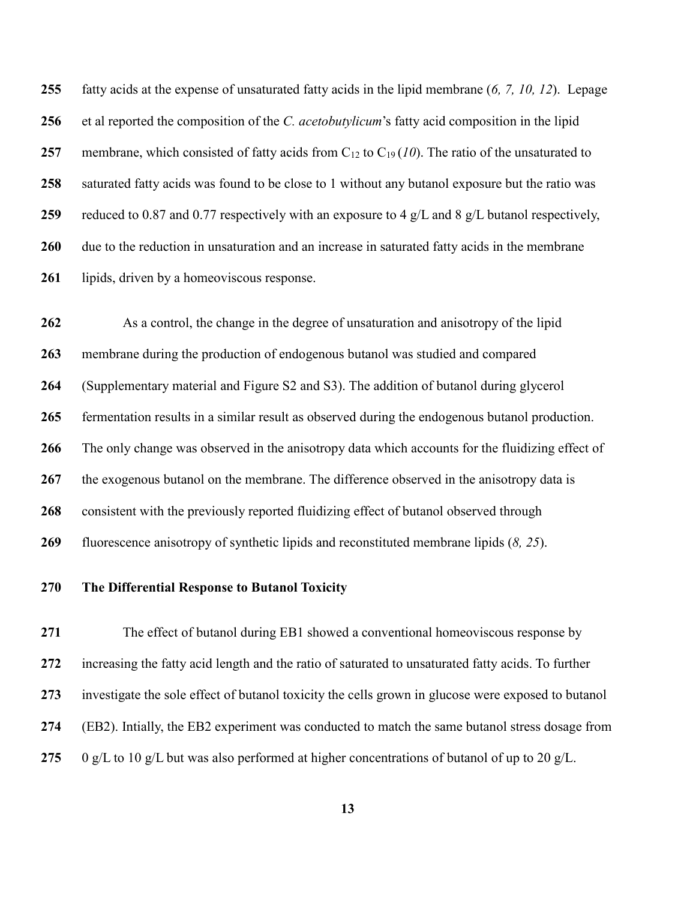fatty acids at the expense of unsaturated fatty acids in the lipid membrane (*[6,](#page-22-4) [7,](#page-22-5) [10,](#page-23-1) [12](#page-23-2)*). Lepage et al reported the composition of the *C. acetobutylicum*'s fatty acid composition in the lipid membrane, which consisted of fatty acids from  $C_{12}$  to  $C_{19}$  ([10](#page-23-1)). The ratio of the unsaturated to saturated fatty acids was found to be close to 1 without any butanol exposure but the ratio was reduced to 0.87 and 0.77 respectively with an exposure to 4 g/L and 8 g/L butanol respectively, due to the reduction in unsaturation and an increase in saturated fatty acids in the membrane lipids, driven by a homeoviscous response.

 As a control, the change in the degree of unsaturation and anisotropy of the lipid membrane during the production of endogenous butanol was studied and compared (Supplementary material and Figure S2 and S3). The addition of butanol during glycerol fermentation results in a similar result as observed during the endogenous butanol production. The only change was observed in the anisotropy data which accounts for the fluidizing effect of the exogenous butanol on the membrane. The difference observed in the anisotropy data is consistent with the previously reported fluidizing effect of butanol observed through fluorescence anisotropy of synthetic lipids and reconstituted membrane lipids (*[8,](#page-22-6) [25](#page-24-1)*).

# **The Differential Response to Butanol Toxicity**

 The effect of butanol during EB1 showed a conventional homeoviscous response by increasing the fatty acid length and the ratio of saturated to unsaturated fatty acids. To further investigate the sole effect of butanol toxicity the cells grown in glucose were exposed to butanol (EB2). Intially, the EB2 experiment was conducted to match the same butanol stress dosage from 0 g/L to 10 g/L but was also performed at higher concentrations of butanol of up to 20 g/L.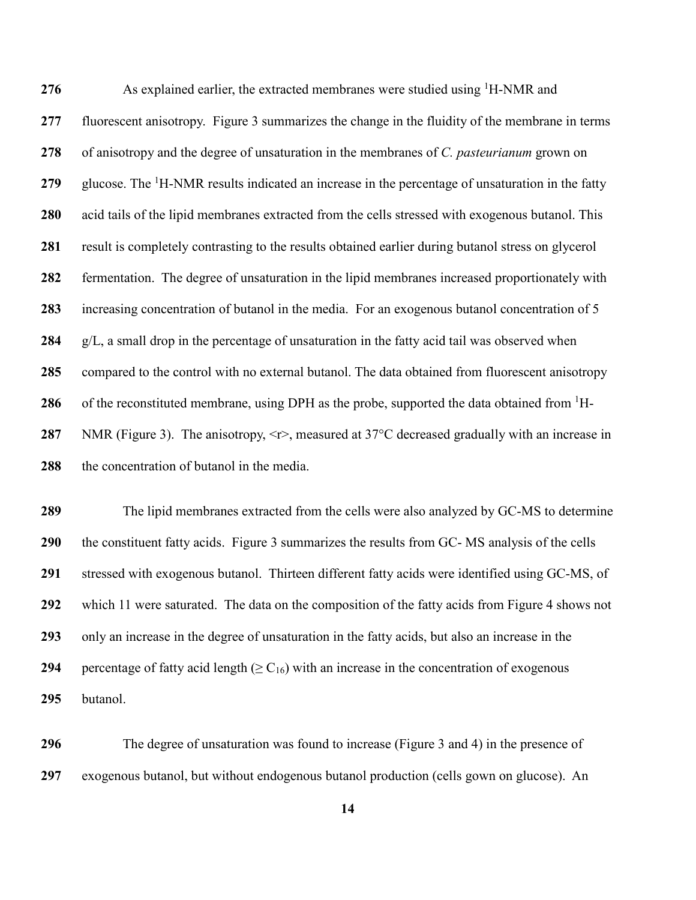276 As explained earlier, the extracted membranes were studied using <sup>1</sup>H-NMR and fluorescent anisotropy. Figure 3 summarizes the change in the fluidity of the membrane in terms of anisotropy and the degree of unsaturation in the membranes of *C. pasteurianum* grown on 279 glucose. The <sup>1</sup>H-NMR results indicated an increase in the percentage of unsaturation in the fatty acid tails of the lipid membranes extracted from the cells stressed with exogenous butanol. This result is completely contrasting to the results obtained earlier during butanol stress on glycerol fermentation. The degree of unsaturation in the lipid membranes increased proportionately with increasing concentration of butanol in the media. For an exogenous butanol concentration of 5 g/L, a small drop in the percentage of unsaturation in the fatty acid tail was observed when compared to the control with no external butanol. The data obtained from fluorescent anisotropy 286 of the reconstituted membrane, using DPH as the probe, supported the data obtained from <sup>1</sup>H- NMR (Figure 3). The anisotropy,  $\leq r$ , measured at 37°C decreased gradually with an increase in the concentration of butanol in the media.

 The lipid membranes extracted from the cells were also analyzed by GC-MS to determine the constituent fatty acids. Figure 3 summarizes the results from GC- MS analysis of the cells stressed with exogenous butanol. Thirteen different fatty acids were identified using GC-MS, of which 11 were saturated. The data on the composition of the fatty acids from Figure 4 shows not only an increase in the degree of unsaturation in the fatty acids, but also an increase in the percentage of fatty acid length  $(\geq C_{16})$  with an increase in the concentration of exogenous butanol.

 The degree of unsaturation was found to increase (Figure 3 and 4) in the presence of exogenous butanol, but without endogenous butanol production (cells gown on glucose). An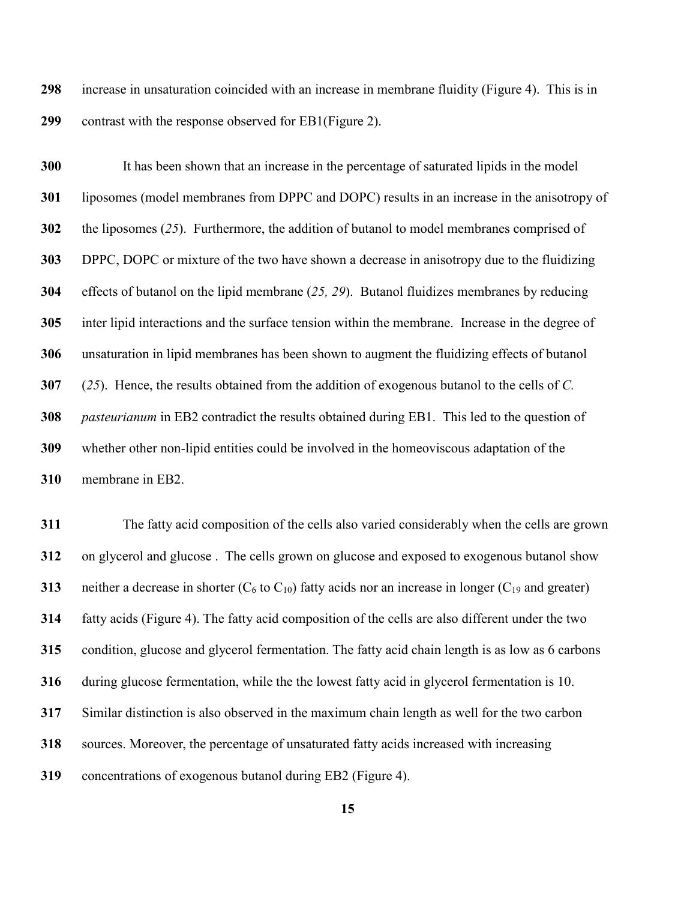increase in unsaturation coincided with an increase in membrane fluidity (Figure 4). This is in contrast with the response observed for EB1(Figure 2).

 It has been shown that an increase in the percentage of saturated lipids in the model liposomes (model membranes from DPPC and DOPC) results in an increase in the anisotropy of the liposomes (*[25](#page-24-1)*). Furthermore, the addition of butanol to model membranes comprised of DPPC, DOPC or mixture of the two have shown a decrease in anisotropy due to the fluidizing effects of butanol on the lipid membrane (*[25,](#page-24-1) [29](#page-24-3)*). Butanol fluidizes membranes by reducing inter lipid interactions and the surface tension within the membrane. Increase in the degree of unsaturation in lipid membranes has been shown to augment the fluidizing effects of butanol (*[25](#page-24-1)*). Hence, the results obtained from the addition of exogenous butanol to the cells of *C. pasteurianum* in EB2 contradict the results obtained during EB1. This led to the question of whether other non-lipid entities could be involved in the homeoviscous adaptation of the membrane in EB2.

 The fatty acid composition of the cells also varied considerably when the cells are grown on glycerol and glucose . The cells grown on glucose and exposed to exogenous butanol show neither a decrease in shorter  $(C_6$  to  $C_{10}$ ) fatty acids nor an increase in longer  $(C_{19}$  and greater) fatty acids (Figure 4). The fatty acid composition of the cells are also different under the two condition, glucose and glycerol fermentation. The fatty acid chain length is as low as 6 carbons during glucose fermentation, while the the lowest fatty acid in glycerol fermentation is 10. Similar distinction is also observed in the maximum chain length as well for the two carbon sources. Moreover, the percentage of unsaturated fatty acids increased with increasing concentrations of exogenous butanol during EB2 (Figure 4).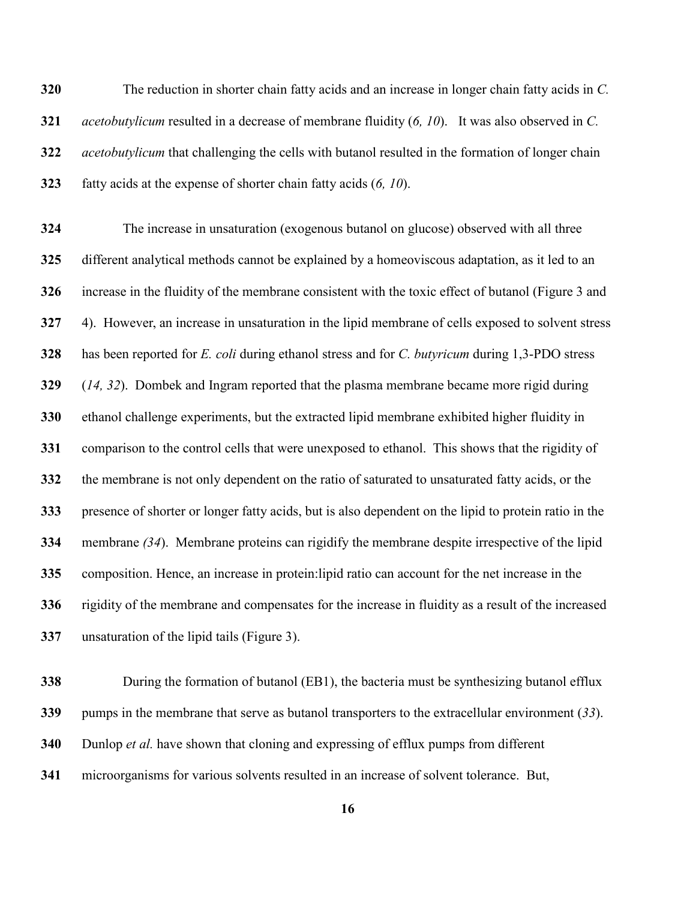The reduction in shorter chain fatty acids and an increase in longer chain fatty acids in *C. acetobutylicum* resulted in a decrease of membrane fluidity (*[6,](#page-22-4) [10](#page-23-1)*). It was also observed in *C. acetobutylicum* that challenging the cells with butanol resulted in the formation of longer chain fatty acids at the expense of shorter chain fatty acids (*[6,](#page-22-4) [10](#page-23-1)*).

 The increase in unsaturation (exogenous butanol on glucose) observed with all three different analytical methods cannot be explained by a homeoviscous adaptation, as it led to an increase in the fluidity of the membrane consistent with the toxic effect of butanol (Figure 3 and 4). However, an increase in unsaturation in the lipid membrane of cells exposed to solvent stress has been reported for *E. coli* during ethanol stress and for *C. butyricum* during 1,3-PDO stress (*[14,](#page-23-8) [32](#page-24-6)*). Dombek and Ingram reported that the plasma membrane became more rigid during ethanol challenge experiments, but the extracted lipid membrane exhibited higher fluidity in comparison to the control cells that were unexposed to ethanol. This shows that the rigidity of the membrane is not only dependent on the ratio of saturated to unsaturated fatty acids, or the presence of shorter or longer fatty acids, but is also dependent on the lipid to protein ratio in the membrane *[\(34](#page-25-0)*). Membrane proteins can rigidify the membrane despite irrespective of the lipid composition. Hence, an increase in protein:lipid ratio can account for the net increase in the rigidity of the membrane and compensates for the increase in fluidity as a result of the increased unsaturation of the lipid tails (Figure 3).

 During the formation of butanol (EB1), the bacteria must be synthesizing butanol efflux pumps in the membrane that serve as butanol transporters to the extracellular environment (*[33](#page-24-7)*). Dunlop *et al.* have shown that cloning and expressing of efflux pumps from different microorganisms for various solvents resulted in an increase of solvent tolerance. But,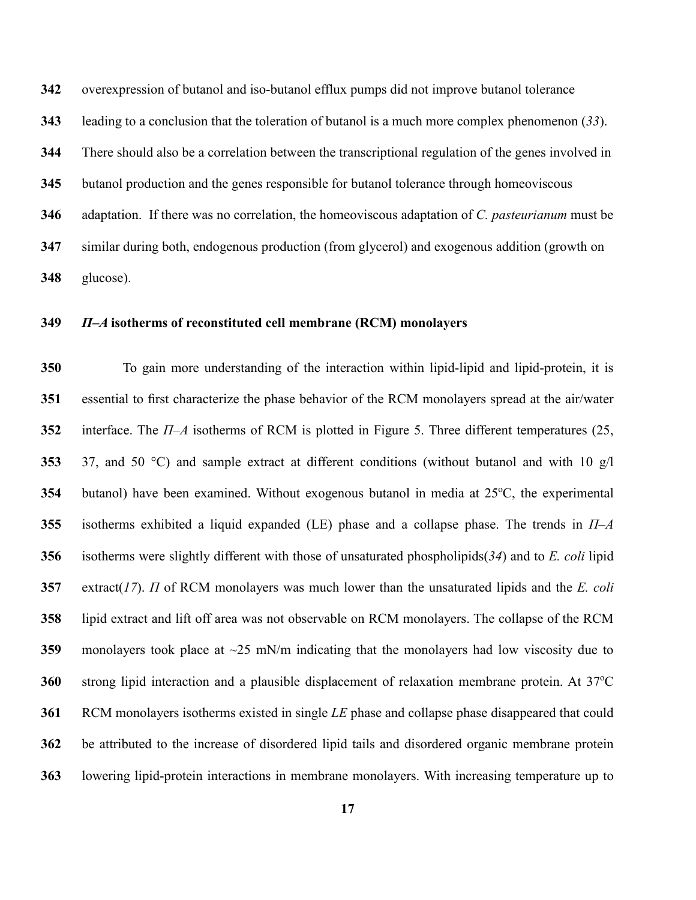overexpression of butanol and iso-butanol efflux pumps did not improve butanol tolerance

leading to a conclusion that the toleration of butanol is a much more complex phenomenon (*[33](#page-24-7)*).

There should also be a correlation between the transcriptional regulation of the genes involved in

butanol production and the genes responsible for butanol tolerance through homeoviscous

adaptation. If there was no correlation, the homeoviscous adaptation of *C. pasteurianum* must be

 similar during both, endogenous production (from glycerol) and exogenous addition (growth on glucose).

# *Π–A* **isotherms of reconstituted cell membrane (RCM) monolayers**

 To gain more understanding of the interaction within lipid-lipid and lipid-protein, it is essential to first characterize the phase behavior of the RCM monolayers spread at the air/water interface. The *Π–A* isotherms of RCM is plotted in Figure 5. Three different temperatures (25, 37, and 50 °C) and sample extract at different conditions (without butanol and with 10 g/l butanol) have been examined. Without exogenous butanol in media at 25<sup>o</sup>C, the experimental isotherms exhibited a liquid expanded (LE) phase and a collapse phase. The trends in *Π–A*  isotherms were slightly different with those of unsaturated phospholipids(*[34](#page-25-0)*) and to *E. coli* lipid extract(*[17](#page-23-4)*). *Π* of RCM monolayers was much lower than the unsaturated lipids and the *E. coli* lipid extract and lift off area was not observable on RCM monolayers. The collapse of the RCM monolayers took place at ~25 mN/m indicating that the monolayers had low viscosity due to strong lipid interaction and a plausible displacement of relaxation membrane protein. At 37<sup>o</sup>C RCM monolayers isotherms existed in single *LE* phase and collapse phase disappeared that could be attributed to the increase of disordered lipid tails and disordered organic membrane protein lowering lipid-protein interactions in membrane monolayers. With increasing temperature up to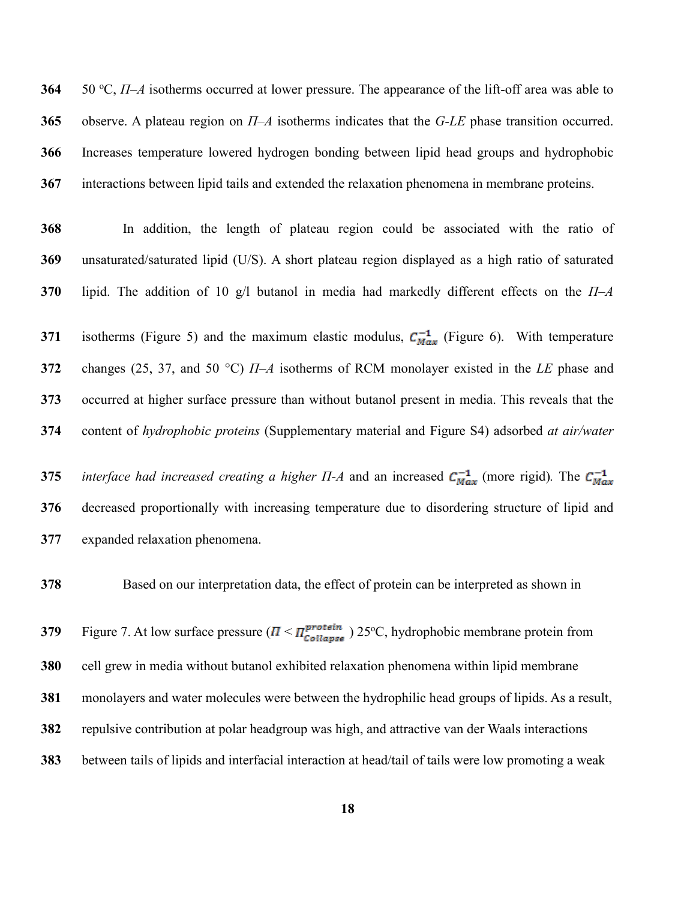50 <sup>o</sup> C, *Π–A* isotherms occurred at lower pressure. The appearance of the lift-off area was able to observe. A plateau region on *Π–A* isotherms indicates that the *G-LE* phase transition occurred. Increases temperature lowered hydrogen bonding between lipid head groups and hydrophobic interactions between lipid tails and extended the relaxation phenomena in membrane proteins.

 In addition, the length of plateau region could be associated with the ratio of unsaturated/saturated lipid (U/S). A short plateau region displayed as a high ratio of saturated lipid. The addition of 10 g/l butanol in media had markedly different effects on the *Π–A*

 isotherms (Figure 5) and the maximum elastic modulus,  $C_{Max}^{-1}$  (Figure 6). With temperature changes (25, 37, and 50 °C) *Π–A* isotherms of RCM monolayer existed in the *LE* phase and occurred at higher surface pressure than without butanol present in media. This reveals that the content of *hydrophobic proteins* (Supplementary material and Figure S4) adsorbed *at air/water* 

**375** *interface had increased creating a higher*  $\Pi$ *-A and an increased*  $C_{Max}^{-1}$  *(more rigid). The*  $C_{Max}^{-1}$  decreased proportionally with increasing temperature due to disordering structure of lipid and expanded relaxation phenomena.

Based on our interpretation data, the effect of protein can be interpreted as shown in

Figure 7. At low surface pressure  $(I \leq \frac{I^{protein}}{Coulapse})$  25<sup>o</sup>C, hydrophobic membrane protein from cell grew in media without butanol exhibited relaxation phenomena within lipid membrane monolayers and water molecules were between the hydrophilic head groups of lipids. As a result, repulsive contribution at polar headgroup was high, and attractive van der Waals interactions between tails of lipids and interfacial interaction at head/tail of tails were low promoting a weak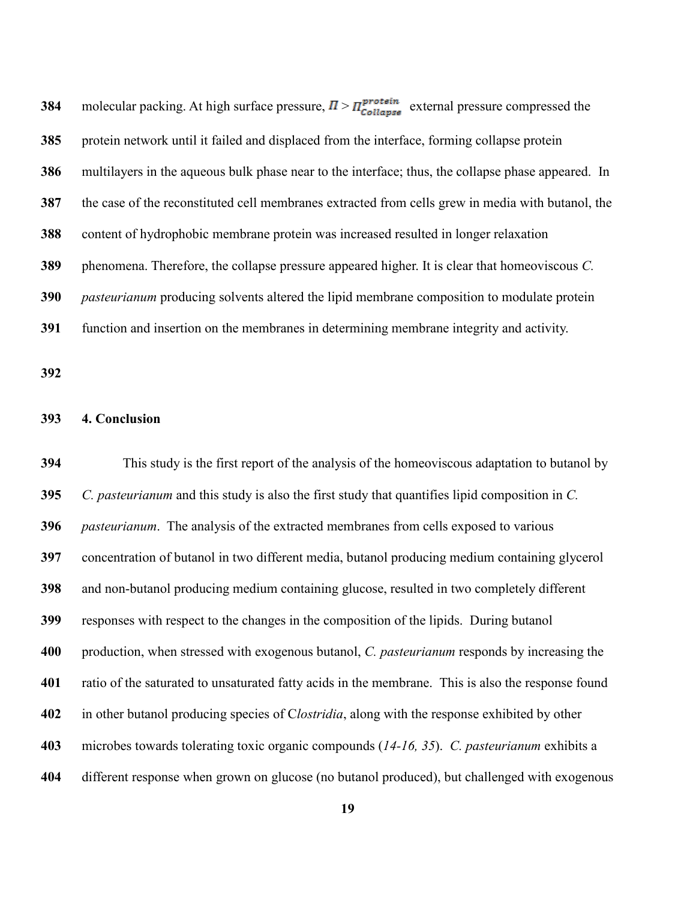| 384 | molecular packing. At high surface pressure, $\Pi > \Pi_{\text{Collapse}}^{\text{protein}}$ external pressure compressed the |
|-----|------------------------------------------------------------------------------------------------------------------------------|
| 385 | protein network until it failed and displaced from the interface, forming collapse protein                                   |
| 386 | multilayers in the aqueous bulk phase near to the interface; thus, the collapse phase appeared. In                           |
| 387 | the case of the reconstituted cell membranes extracted from cells grew in media with butanol, the                            |
| 388 | content of hydrophobic membrane protein was increased resulted in longer relaxation                                          |
| 389 | phenomena. Therefore, the collapse pressure appeared higher. It is clear that homeoviscous C.                                |
| 390 | pasteurianum producing solvents altered the lipid membrane composition to modulate protein                                   |
| 391 | function and insertion on the membranes in determining membrane integrity and activity.                                      |
| 392 |                                                                                                                              |

### **4. Conclusion**

 This study is the first report of the analysis of the homeoviscous adaptation to butanol by *C. pasteurianum* and this study is also the first study that quantifies lipid composition in *C. pasteurianum*. The analysis of the extracted membranes from cells exposed to various concentration of butanol in two different media, butanol producing medium containing glycerol and non-butanol producing medium containing glucose, resulted in two completely different responses with respect to the changes in the composition of the lipids. During butanol production, when stressed with exogenous butanol, *C. pasteurianum* responds by increasing the ratio of the saturated to unsaturated fatty acids in the membrane. This is also the response found in other butanol producing species of C*lostridia*, along with the response exhibited by other microbes towards tolerating toxic organic compounds (*[14-16,](#page-23-8) [35](#page-25-1)*). *C. pasteurianum* exhibits a different response when grown on glucose (no butanol produced), but challenged with exogenous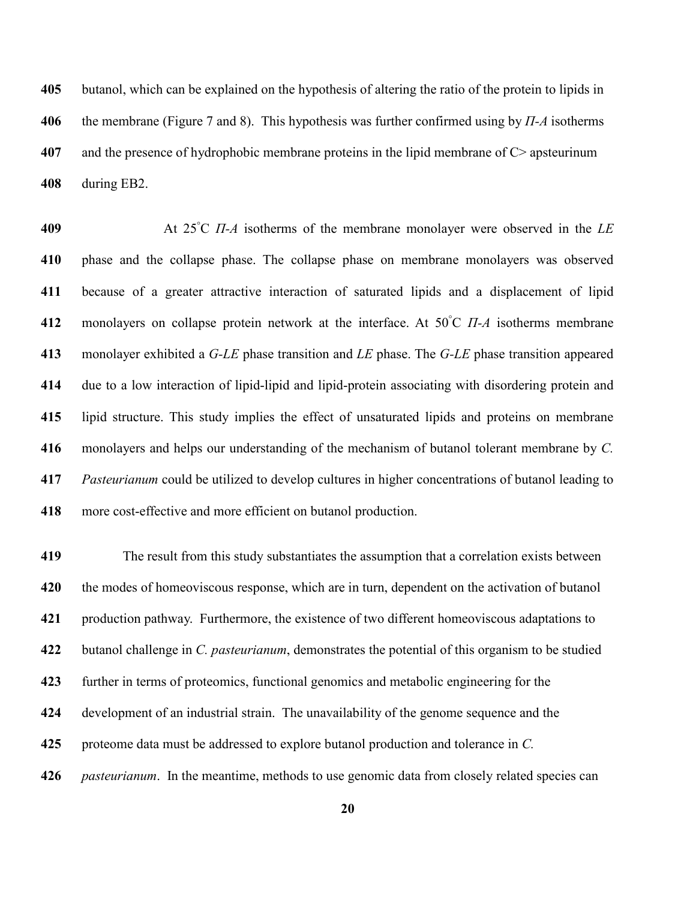butanol, which can be explained on the hypothesis of altering the ratio of the protein to lipids in the membrane (Figure 7 and 8). This hypothesis was further confirmed using by *Π-A* isotherms and the presence of hydrophobic membrane proteins in the lipid membrane of C> apsteurinum during EB2.

At 25° C *Π-A* isotherms of the membrane monolayer were observed in the *LE*  phase and the collapse phase. The collapse phase on membrane monolayers was observed because of a greater attractive interaction of saturated lipids and a displacement of lipid na and monolayers on collapse protein network at the interface. At 50°C *Π-A* isotherms membrane monolayer exhibited a *G-LE* phase transition and *LE* phase. The *G-LE* phase transition appeared due to a low interaction of lipid-lipid and lipid-protein associating with disordering protein and lipid structure. This study implies the effect of unsaturated lipids and proteins on membrane monolayers and helps our understanding of the mechanism of butanol tolerant membrane by *C. Pasteurianum* could be utilized to develop cultures in higher concentrations of butanol leading to more cost-effective and more efficient on butanol production.

 The result from this study substantiates the assumption that a correlation exists between the modes of homeoviscous response, which are in turn, dependent on the activation of butanol production pathway. Furthermore, the existence of two different homeoviscous adaptations to butanol challenge in *C. pasteurianum*, demonstrates the potential of this organism to be studied further in terms of proteomics, functional genomics and metabolic engineering for the development of an industrial strain. The unavailability of the genome sequence and the proteome data must be addressed to explore butanol production and tolerance in *C. pasteurianum*. In the meantime, methods to use genomic data from closely related species can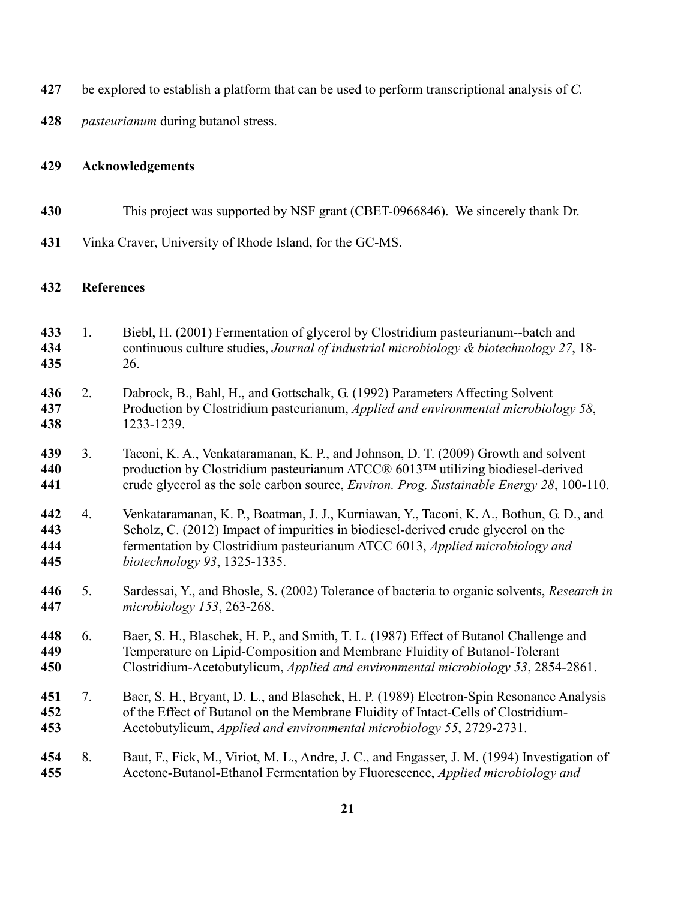<span id="page-22-6"></span><span id="page-22-5"></span><span id="page-22-4"></span><span id="page-22-3"></span><span id="page-22-2"></span><span id="page-22-1"></span><span id="page-22-0"></span>

| 427                      | be explored to establish a platform that can be used to perform transcriptional analysis of C. |                                                                                                                                                                                                                                                                                              |  |  |
|--------------------------|------------------------------------------------------------------------------------------------|----------------------------------------------------------------------------------------------------------------------------------------------------------------------------------------------------------------------------------------------------------------------------------------------|--|--|
| 428                      | <i>pasteurianum</i> during butanol stress.                                                     |                                                                                                                                                                                                                                                                                              |  |  |
| 429                      | <b>Acknowledgements</b>                                                                        |                                                                                                                                                                                                                                                                                              |  |  |
| 430                      |                                                                                                | This project was supported by NSF grant (CBET-0966846). We sincerely thank Dr.                                                                                                                                                                                                               |  |  |
| 431                      | Vinka Craver, University of Rhode Island, for the GC-MS.                                       |                                                                                                                                                                                                                                                                                              |  |  |
| 432                      | <b>References</b>                                                                              |                                                                                                                                                                                                                                                                                              |  |  |
| 433<br>434<br>435        | 1.                                                                                             | Biebl, H. (2001) Fermentation of glycerol by Clostridium pasteurianum--batch and<br>continuous culture studies, Journal of industrial microbiology & biotechnology 27, 18-<br>26.                                                                                                            |  |  |
| 436<br>437<br>438        | 2.                                                                                             | Dabrock, B., Bahl, H., and Gottschalk, G. (1992) Parameters Affecting Solvent<br>Production by Clostridium pasteurianum, Applied and environmental microbiology 58,<br>1233-1239.                                                                                                            |  |  |
| 439<br>440<br>441        | 3.                                                                                             | Taconi, K. A., Venkataramanan, K. P., and Johnson, D. T. (2009) Growth and solvent<br>production by Clostridium pasteurianum ATCC® 6013TM utilizing biodiesel-derived<br>crude glycerol as the sole carbon source, <i>Environ. Prog. Sustainable Energy</i> 28, 100-110.                     |  |  |
| 442<br>443<br>444<br>445 | 4.                                                                                             | Venkataramanan, K. P., Boatman, J. J., Kurniawan, Y., Taconi, K. A., Bothun, G. D., and<br>Scholz, C. (2012) Impact of impurities in biodiesel-derived crude glycerol on the<br>fermentation by Clostridium pasteurianum ATCC 6013, Applied microbiology and<br>biotechnology 93, 1325-1335. |  |  |
| 446<br>447               | 5.                                                                                             | Sardessai, Y., and Bhosle, S. (2002) Tolerance of bacteria to organic solvents, Research in<br>microbiology 153, 263-268.                                                                                                                                                                    |  |  |
| 448<br>449<br>450        | 6.                                                                                             | Baer, S. H., Blaschek, H. P., and Smith, T. L. (1987) Effect of Butanol Challenge and<br>Temperature on Lipid-Composition and Membrane Fluidity of Butanol-Tolerant<br>Clostridium-Acetobutylicum, Applied and environmental microbiology 53, 2854-2861.                                     |  |  |
| 451<br>452<br>453        | 7.                                                                                             | Baer, S. H., Bryant, D. L., and Blaschek, H. P. (1989) Electron-Spin Resonance Analysis<br>of the Effect of Butanol on the Membrane Fluidity of Intact-Cells of Clostridium-<br>Acetobutylicum, Applied and environmental microbiology 55, 2729-2731.                                        |  |  |
| 454<br>455               | 8.                                                                                             | Baut, F., Fick, M., Viriot, M. L., Andre, J. C., and Engasser, J. M. (1994) Investigation of<br>Acetone-Butanol-Ethanol Fermentation by Fluorescence, Applied microbiology and                                                                                                               |  |  |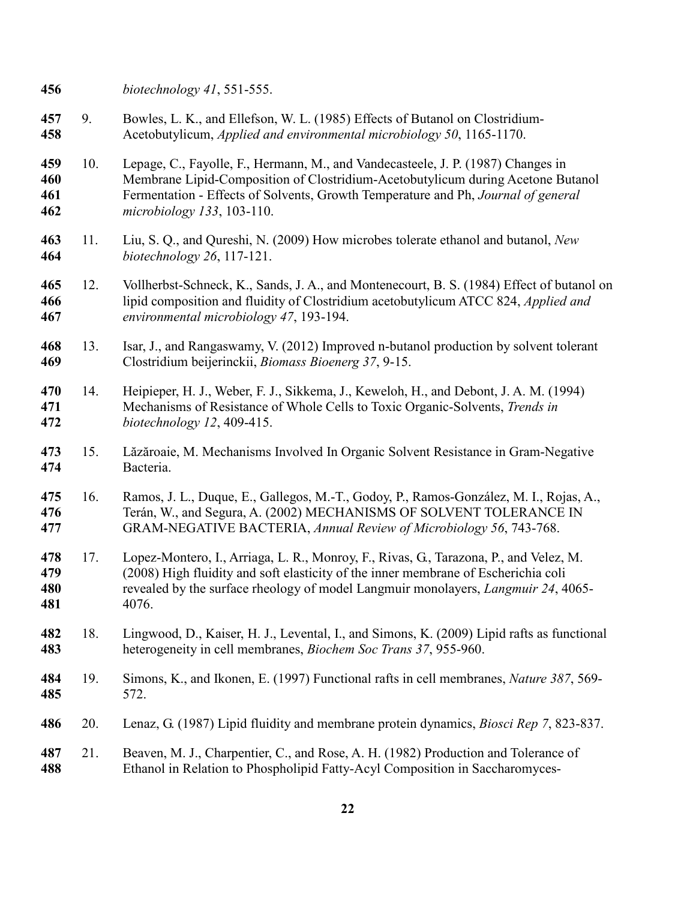<span id="page-23-7"></span>*biotechnology 41*, 551-555.

- 9. Bowles, L. K., and Ellefson, W. L. (1985) Effects of Butanol on Clostridium-Acetobutylicum, *Applied and environmental microbiology 50*, 1165-1170.
- <span id="page-23-1"></span> 10. Lepage, C., Fayolle, F., Hermann, M., and Vandecasteele, J. P. (1987) Changes in Membrane Lipid-Composition of Clostridium-Acetobutylicum during Acetone Butanol Fermentation - Effects of Solvents, Growth Temperature and Ph, *Journal of general microbiology 133*, 103-110.
- <span id="page-23-0"></span> 11. Liu, S. Q., and Qureshi, N. (2009) How microbes tolerate ethanol and butanol, *New biotechnology 26*, 117-121.
- <span id="page-23-2"></span> 12. Vollherbst-Schneck, K., Sands, J. A., and Montenecourt, B. S. (1984) Effect of butanol on lipid composition and fluidity of Clostridium acetobutylicum ATCC 824, *Applied and environmental microbiology 47*, 193-194.
- <span id="page-23-3"></span> 13. Isar, J., and Rangaswamy, V. (2012) Improved n-butanol production by solvent tolerant Clostridium beijerinckii, *Biomass Bioenerg 37*, 9-15.
- <span id="page-23-8"></span> 14. Heipieper, H. J., Weber, F. J., Sikkema, J., Keweloh, H., and Debont, J. A. M. (1994) Mechanisms of Resistance of Whole Cells to Toxic Organic-Solvents, *Trends in biotechnology 12*, 409-415.
- 15. Lăzăroaie, M. Mechanisms Involved In Organic Solvent Resistance in Gram-Negative Bacteria.
- 16. Ramos, J. L., Duque, E., Gallegos, M.-T., Godoy, P., Ramos-González, M. I., Rojas, A., Terán, W., and Segura, A. (2002) MECHANISMS OF SOLVENT TOLERANCE IN GRAM-NEGATIVE BACTERIA, *Annual Review of Microbiology 56*, 743-768.
- <span id="page-23-4"></span> 17. Lopez-Montero, I., Arriaga, L. R., Monroy, F., Rivas, G., Tarazona, P., and Velez, M. (2008) High fluidity and soft elasticity of the inner membrane of Escherichia coli revealed by the surface rheology of model Langmuir monolayers, *Langmuir 24*, 4065- 4076.
- 18. Lingwood, D., Kaiser, H. J., Levental, I., and Simons, K. (2009) Lipid rafts as functional heterogeneity in cell membranes, *Biochem Soc Trans 37*, 955-960.
- 19. Simons, K., and Ikonen, E. (1997) Functional rafts in cell membranes, *Nature 387*, 569- 572.
- <span id="page-23-6"></span><span id="page-23-5"></span>20. Lenaz, G. (1987) Lipid fluidity and membrane protein dynamics, *Biosci Rep 7*, 823-837.
- 21. Beaven, M. J., Charpentier, C., and Rose, A. H. (1982) Production and Tolerance of Ethanol in Relation to Phospholipid Fatty-Acyl Composition in Saccharomyces-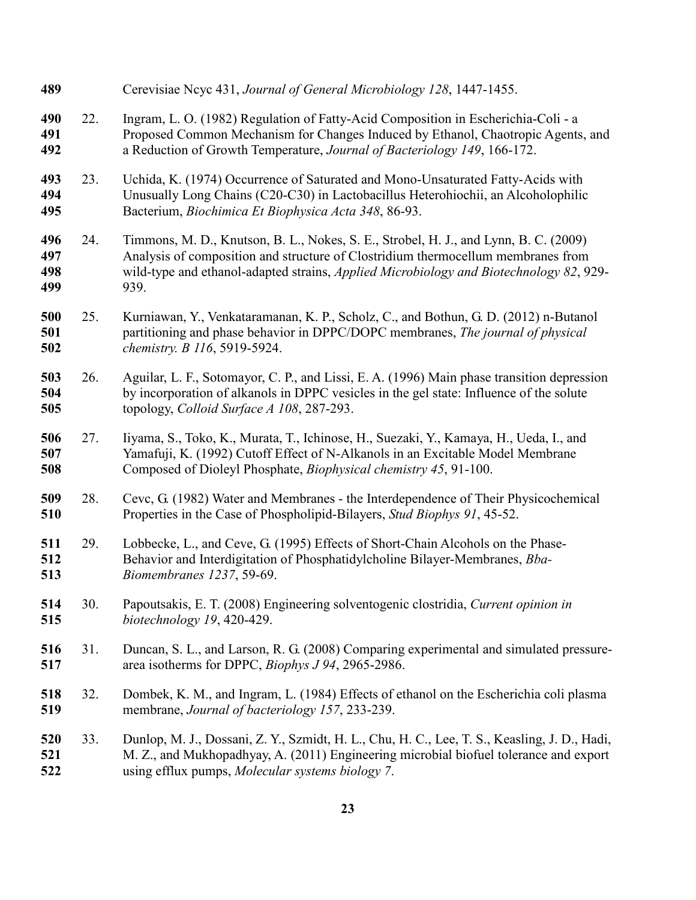<span id="page-24-7"></span><span id="page-24-6"></span><span id="page-24-5"></span><span id="page-24-4"></span><span id="page-24-3"></span><span id="page-24-2"></span><span id="page-24-1"></span><span id="page-24-0"></span>

| 489                      |     | Cerevisiae Neyc 431, Journal of General Microbiology 128, 1447-1455.                                                                                                                                                                                                       |
|--------------------------|-----|----------------------------------------------------------------------------------------------------------------------------------------------------------------------------------------------------------------------------------------------------------------------------|
| 490<br>491<br>492        | 22. | Ingram, L. O. (1982) Regulation of Fatty-Acid Composition in Escherichia-Coli - a<br>Proposed Common Mechanism for Changes Induced by Ethanol, Chaotropic Agents, and<br>a Reduction of Growth Temperature, Journal of Bacteriology 149, 166-172.                          |
| 493<br>494<br>495        | 23. | Uchida, K. (1974) Occurrence of Saturated and Mono-Unsaturated Fatty-Acids with<br>Unusually Long Chains (C20-C30) in Lactobacillus Heterohiochii, an Alcoholophilic<br>Bacterium, Biochimica Et Biophysica Acta 348, 86-93.                                               |
| 496<br>497<br>498<br>499 | 24. | Timmons, M. D., Knutson, B. L., Nokes, S. E., Strobel, H. J., and Lynn, B. C. (2009)<br>Analysis of composition and structure of Clostridium thermocellum membranes from<br>wild-type and ethanol-adapted strains, Applied Microbiology and Biotechnology 82, 929-<br>939. |
| 500<br>501<br>502        | 25. | Kurniawan, Y., Venkataramanan, K. P., Scholz, C., and Bothun, G. D. (2012) n-Butanol<br>partitioning and phase behavior in DPPC/DOPC membranes, The journal of physical<br>chemistry. B 116, 5919-5924.                                                                    |
| 503<br>504<br>505        | 26. | Aguilar, L. F., Sotomayor, C. P., and Lissi, E. A. (1996) Main phase transition depression<br>by incorporation of alkanols in DPPC vesicles in the gel state: Influence of the solute<br>topology, Colloid Surface A 108, 287-293.                                         |
| 506<br>507<br>508        | 27. | Iiyama, S., Toko, K., Murata, T., Ichinose, H., Suezaki, Y., Kamaya, H., Ueda, I., and<br>Yamafuji, K. (1992) Cutoff Effect of N-Alkanols in an Excitable Model Membrane<br>Composed of Dioleyl Phosphate, Biophysical chemistry 45, 91-100.                               |
| 509<br>510               | 28. | Cevc, G. (1982) Water and Membranes - the Interdependence of Their Physicochemical<br>Properties in the Case of Phospholipid-Bilayers, Stud Biophys 91, 45-52.                                                                                                             |
| 511<br>512<br>513        | 29. | Lobbecke, L., and Ceve, G. (1995) Effects of Short-Chain Alcohols on the Phase-<br>Behavior and Interdigitation of Phosphatidylcholine Bilayer-Membranes, Bba-<br>Biomembranes 1237, 59-69.                                                                                |
| 514<br>515               | 30. | Papoutsakis, E. T. (2008) Engineering solventogenic clostridia, Current opinion in<br>biotechnology 19, 420-429.                                                                                                                                                           |
| 516<br>517               | 31. | Duncan, S. L., and Larson, R. G. (2008) Comparing experimental and simulated pressure-<br>area isotherms for DPPC, <i>Biophys J 94</i> , 2965-2986.                                                                                                                        |
| 518<br>519               | 32. | Dombek, K. M., and Ingram, L. (1984) Effects of ethanol on the Escherichia coli plasma<br>membrane, Journal of bacteriology 157, 233-239.                                                                                                                                  |
| 520<br>521<br>522        | 33. | Dunlop, M. J., Dossani, Z. Y., Szmidt, H. L., Chu, H. C., Lee, T. S., Keasling, J. D., Hadi,<br>M. Z., and Mukhopadhyay, A. (2011) Engineering microbial biofuel tolerance and export<br>using efflux pumps, Molecular systems biology 7.                                  |